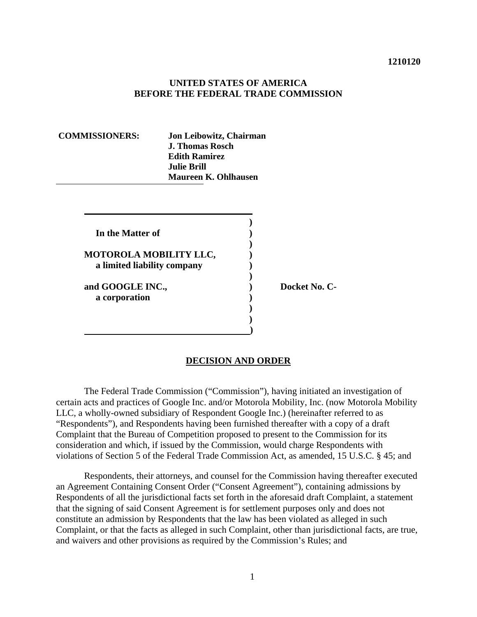### **UNITED STATES OF AMERICA BEFORE THE FEDERAL TRADE COMMISSION**

**COMMISSIONERS: Jon Leibowitz, Chairman J. Thomas Rosch Edith Ramirez Julie Brill Maureen K. Ohlhausen**

> **) In the Matter of ) ) MOTOROLA MOBILITY LLC, ) a limited liability company ) )**  and GOOGLE INC., Docket No. C **a corporation ) )**

 **) )** 

### **DECISION AND ORDER**

The Federal Trade Commission ("Commission"), having initiated an investigation of certain acts and practices of Google Inc. and/or Motorola Mobility, Inc. (now Motorola Mobility LLC, a wholly-owned subsidiary of Respondent Google Inc.) (hereinafter referred to as "Respondents"), and Respondents having been furnished thereafter with a copy of a draft Complaint that the Bureau of Competition proposed to present to the Commission for its consideration and which, if issued by the Commission, would charge Respondents with violations of Section 5 of the Federal Trade Commission Act, as amended, 15 U.S.C. § 45; and

Respondents, their attorneys, and counsel for the Commission having thereafter executed an Agreement Containing Consent Order ("Consent Agreement"), containing admissions by Respondents of all the jurisdictional facts set forth in the aforesaid draft Complaint, a statement that the signing of said Consent Agreement is for settlement purposes only and does not constitute an admission by Respondents that the law has been violated as alleged in such Complaint, or that the facts as alleged in such Complaint, other than jurisdictional facts, are true, and waivers and other provisions as required by the Commission's Rules; and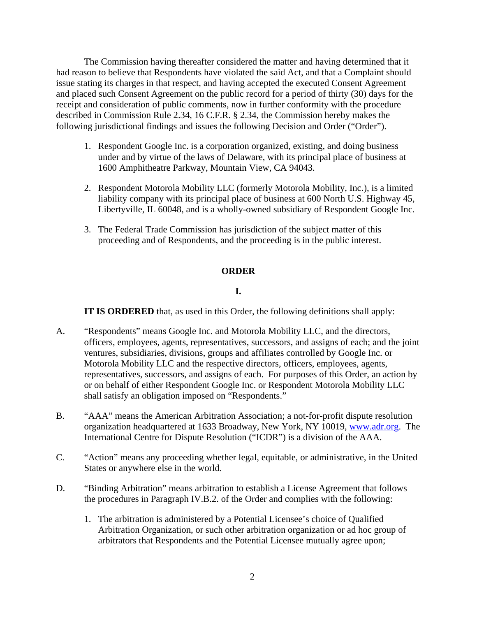The Commission having thereafter considered the matter and having determined that it had reason to believe that Respondents have violated the said Act, and that a Complaint should issue stating its charges in that respect, and having accepted the executed Consent Agreement and placed such Consent Agreement on the public record for a period of thirty (30) days for the receipt and consideration of public comments, now in further conformity with the procedure described in Commission Rule 2.34, 16 C.F.R. § 2.34, the Commission hereby makes the following jurisdictional findings and issues the following Decision and Order ("Order").

- 1. Respondent Google Inc. is a corporation organized, existing, and doing business under and by virtue of the laws of Delaware, with its principal place of business at 1600 Amphitheatre Parkway, Mountain View, CA 94043.
- 2. Respondent Motorola Mobility LLC (formerly Motorola Mobility, Inc.), is a limited liability company with its principal place of business at 600 North U.S. Highway 45, Libertyville, IL 60048, and is a wholly-owned subsidiary of Respondent Google Inc.
- 3. The Federal Trade Commission has jurisdiction of the subject matter of this proceeding and of Respondents, and the proceeding is in the public interest.

## **ORDER**

## **I.**

**IT IS ORDERED** that, as used in this Order, the following definitions shall apply:

- A. "Respondents" means Google Inc. and Motorola Mobility LLC, and the directors, officers, employees, agents, representatives, successors, and assigns of each; and the joint ventures, subsidiaries, divisions, groups and affiliates controlled by Google Inc. or Motorola Mobility LLC and the respective directors, officers, employees, agents, representatives, successors, and assigns of each. For purposes of this Order, an action by or on behalf of either Respondent Google Inc. or Respondent Motorola Mobility LLC shall satisfy an obligation imposed on "Respondents."
- B. "AAA" means the American Arbitration Association; a not-for-profit dispute resolution organization headquartered at 1633 Broadway, New York, NY 10019, www.adr.org. The International Centre for Dispute Resolution ("ICDR") is a division of the AAA.
- C. "Action" means any proceeding whether legal, equitable, or administrative, in the United States or anywhere else in the world.
- D. "Binding Arbitration" means arbitration to establish a License Agreement that follows the procedures in Paragraph IV.B.2. of the Order and complies with the following:
	- 1. The arbitration is administered by a Potential Licensee's choice of Qualified Arbitration Organization, or such other arbitration organization or ad hoc group of arbitrators that Respondents and the Potential Licensee mutually agree upon;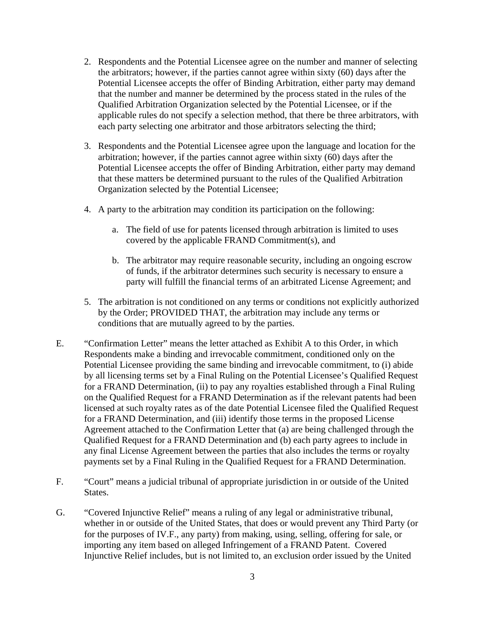- 2. Respondents and the Potential Licensee agree on the number and manner of selecting the arbitrators; however, if the parties cannot agree within sixty (60) days after the Potential Licensee accepts the offer of Binding Arbitration, either party may demand that the number and manner be determined by the process stated in the rules of the Qualified Arbitration Organization selected by the Potential Licensee, or if the applicable rules do not specify a selection method, that there be three arbitrators, with each party selecting one arbitrator and those arbitrators selecting the third;
- 3. Respondents and the Potential Licensee agree upon the language and location for the arbitration; however, if the parties cannot agree within sixty (60) days after the Potential Licensee accepts the offer of Binding Arbitration, either party may demand that these matters be determined pursuant to the rules of the Qualified Arbitration Organization selected by the Potential Licensee;
- 4. A party to the arbitration may condition its participation on the following:
	- a. The field of use for patents licensed through arbitration is limited to uses covered by the applicable FRAND Commitment(s), and
	- b. The arbitrator may require reasonable security, including an ongoing escrow of funds, if the arbitrator determines such security is necessary to ensure a party will fulfill the financial terms of an arbitrated License Agreement; and
- 5. The arbitration is not conditioned on any terms or conditions not explicitly authorized by the Order; PROVIDED THAT, the arbitration may include any terms or conditions that are mutually agreed to by the parties.
- E. "Confirmation Letter" means the letter attached as Exhibit A to this Order, in which Respondents make a binding and irrevocable commitment, conditioned only on the Potential Licensee providing the same binding and irrevocable commitment, to (i) abide by all licensing terms set by a Final Ruling on the Potential Licensee's Qualified Request for a FRAND Determination, (ii) to pay any royalties established through a Final Ruling on the Qualified Request for a FRAND Determination as if the relevant patents had been licensed at such royalty rates as of the date Potential Licensee filed the Qualified Request for a FRAND Determination, and (iii) identify those terms in the proposed License Agreement attached to the Confirmation Letter that (a) are being challenged through the Qualified Request for a FRAND Determination and (b) each party agrees to include in any final License Agreement between the parties that also includes the terms or royalty payments set by a Final Ruling in the Qualified Request for a FRAND Determination.
- F. "Court" means a judicial tribunal of appropriate jurisdiction in or outside of the United States.
- G. "Covered Injunctive Relief" means a ruling of any legal or administrative tribunal, whether in or outside of the United States, that does or would prevent any Third Party (or for the purposes of IV.F., any party) from making, using, selling, offering for sale, or importing any item based on alleged Infringement of a FRAND Patent. Covered Injunctive Relief includes, but is not limited to, an exclusion order issued by the United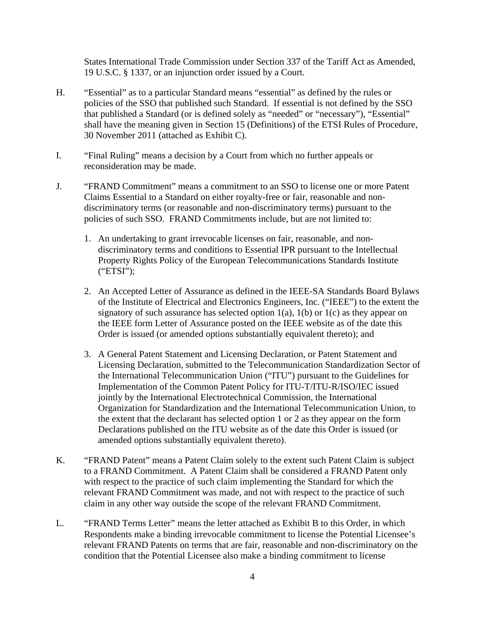States International Trade Commission under Section 337 of the Tariff Act as Amended, 19 U.S.C. § 1337, or an injunction order issued by a Court.

- H. "Essential" as to a particular Standard means "essential" as defined by the rules or policies of the SSO that published such Standard. If essential is not defined by the SSO that published a Standard (or is defined solely as "needed" or "necessary"), "Essential" shall have the meaning given in Section 15 (Definitions) of the ETSI Rules of Procedure, 30 November 2011 (attached as Exhibit C).
- I. "Final Ruling" means a decision by a Court from which no further appeals or reconsideration may be made.
- J. "FRAND Commitment" means a commitment to an SSO to license one or more Patent Claims Essential to a Standard on either royalty-free or fair, reasonable and nondiscriminatory terms (or reasonable and non-discriminatory terms) pursuant to the policies of such SSO. FRAND Commitments include, but are not limited to:
	- 1. An undertaking to grant irrevocable licenses on fair, reasonable, and nondiscriminatory terms and conditions to Essential IPR pursuant to the Intellectual Property Rights Policy of the European Telecommunications Standards Institute ("ETSI");
	- 2. An Accepted Letter of Assurance as defined in the IEEE-SA Standards Board Bylaws of the Institute of Electrical and Electronics Engineers, Inc. ("IEEE") to the extent the signatory of such assurance has selected option  $1(a)$ ,  $1(b)$  or  $1(c)$  as they appear on the IEEE form Letter of Assurance posted on the IEEE website as of the date this Order is issued (or amended options substantially equivalent thereto); and
	- 3. A General Patent Statement and Licensing Declaration, or Patent Statement and Licensing Declaration, submitted to the Telecommunication Standardization Sector of the International Telecommunication Union ("ITU") pursuant to the Guidelines for Implementation of the Common Patent Policy for ITU-T/ITU-R/ISO/IEC issued jointly by the International Electrotechnical Commission, the International Organization for Standardization and the International Telecommunication Union, to the extent that the declarant has selected option 1 or 2 as they appear on the form Declarations published on the ITU website as of the date this Order is issued (or amended options substantially equivalent thereto).
- K. "FRAND Patent" means a Patent Claim solely to the extent such Patent Claim is subject to a FRAND Commitment. A Patent Claim shall be considered a FRAND Patent only with respect to the practice of such claim implementing the Standard for which the relevant FRAND Commitment was made, and not with respect to the practice of such claim in any other way outside the scope of the relevant FRAND Commitment.
- L. "FRAND Terms Letter" means the letter attached as Exhibit B to this Order, in which Respondents make a binding irrevocable commitment to license the Potential Licensee's relevant FRAND Patents on terms that are fair, reasonable and non-discriminatory on the condition that the Potential Licensee also make a binding commitment to license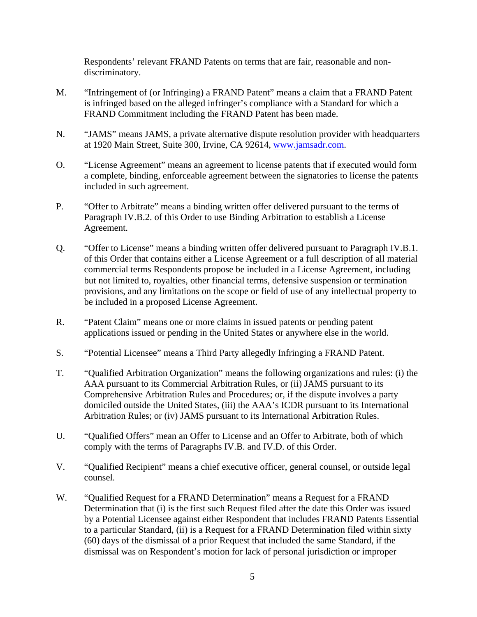Respondents' relevant FRAND Patents on terms that are fair, reasonable and nondiscriminatory.

- M. "Infringement of (or Infringing) a FRAND Patent" means a claim that a FRAND Patent is infringed based on the alleged infringer's compliance with a Standard for which a FRAND Commitment including the FRAND Patent has been made.
- N. "JAMS" means JAMS, a private alternative dispute resolution provider with headquarters at 1920 Main Street, Suite 300, Irvine, CA 92614, www.jamsadr.com.
- O. "License Agreement" means an agreement to license patents that if executed would form a complete, binding, enforceable agreement between the signatories to license the patents included in such agreement.
- P. "Offer to Arbitrate" means a binding written offer delivered pursuant to the terms of Paragraph IV.B.2. of this Order to use Binding Arbitration to establish a License Agreement.
- Q. "Offer to License" means a binding written offer delivered pursuant to Paragraph IV.B.1. of this Order that contains either a License Agreement or a full description of all material commercial terms Respondents propose be included in a License Agreement, including but not limited to, royalties, other financial terms, defensive suspension or termination provisions, and any limitations on the scope or field of use of any intellectual property to be included in a proposed License Agreement.
- R. "Patent Claim" means one or more claims in issued patents or pending patent applications issued or pending in the United States or anywhere else in the world.
- S. "Potential Licensee" means a Third Party allegedly Infringing a FRAND Patent.
- T. "Qualified Arbitration Organization" means the following organizations and rules: (i) the AAA pursuant to its Commercial Arbitration Rules, or (ii) JAMS pursuant to its Comprehensive Arbitration Rules and Procedures; or, if the dispute involves a party domiciled outside the United States, (iii) the AAA's ICDR pursuant to its International Arbitration Rules; or (iv) JAMS pursuant to its International Arbitration Rules.
- U. "Qualified Offers" mean an Offer to License and an Offer to Arbitrate, both of which comply with the terms of Paragraphs IV.B. and IV.D. of this Order.
- V. "Qualified Recipient" means a chief executive officer, general counsel, or outside legal counsel.
- W. "Qualified Request for a FRAND Determination" means a Request for a FRAND Determination that (i) is the first such Request filed after the date this Order was issued by a Potential Licensee against either Respondent that includes FRAND Patents Essential to a particular Standard, (ii) is a Request for a FRAND Determination filed within sixty (60) days of the dismissal of a prior Request that included the same Standard, if the dismissal was on Respondent's motion for lack of personal jurisdiction or improper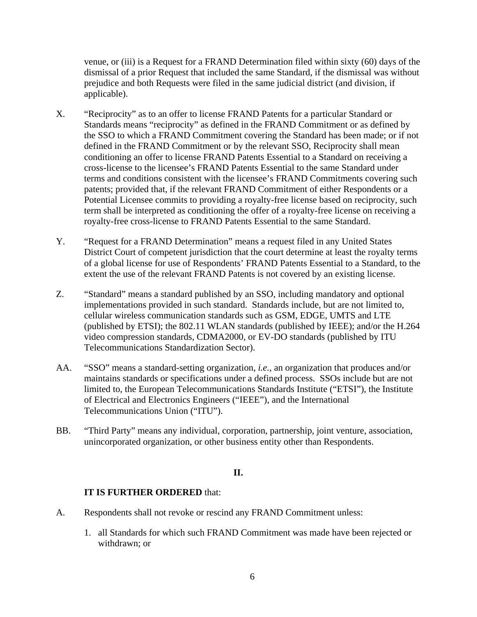venue, or (iii) is a Request for a FRAND Determination filed within sixty (60) days of the dismissal of a prior Request that included the same Standard, if the dismissal was without prejudice and both Requests were filed in the same judicial district (and division, if applicable).

- X. "Reciprocity" as to an offer to license FRAND Patents for a particular Standard or Standards means "reciprocity" as defined in the FRAND Commitment or as defined by the SSO to which a FRAND Commitment covering the Standard has been made; or if not defined in the FRAND Commitment or by the relevant SSO, Reciprocity shall mean conditioning an offer to license FRAND Patents Essential to a Standard on receiving a cross-license to the licensee's FRAND Patents Essential to the same Standard under terms and conditions consistent with the licensee's FRAND Commitments covering such patents; provided that, if the relevant FRAND Commitment of either Respondents or a Potential Licensee commits to providing a royalty-free license based on reciprocity, such term shall be interpreted as conditioning the offer of a royalty-free license on receiving a royalty-free cross-license to FRAND Patents Essential to the same Standard.
- Y. "Request for a FRAND Determination" means a request filed in any United States District Court of competent jurisdiction that the court determine at least the royalty terms of a global license for use of Respondents' FRAND Patents Essential to a Standard, to the extent the use of the relevant FRAND Patents is not covered by an existing license.
- Z. "Standard" means a standard published by an SSO, including mandatory and optional implementations provided in such standard. Standards include, but are not limited to, cellular wireless communication standards such as GSM, EDGE, UMTS and LTE (published by ETSI); the 802.11 WLAN standards (published by IEEE); and/or the H.264 video compression standards, CDMA2000, or EV-DO standards (published by ITU Telecommunications Standardization Sector).
- AA. "SSO" means a standard-setting organization, *i.e.*, an organization that produces and/or maintains standards or specifications under a defined process. SSOs include but are not limited to, the European Telecommunications Standards Institute ("ETSI"), the Institute of Electrical and Electronics Engineers ("IEEE"), and the International Telecommunications Union ("ITU").
- BB. "Third Party" means any individual, corporation, partnership, joint venture, association, unincorporated organization, or other business entity other than Respondents.

### **II.**

### **IT IS FURTHER ORDERED** that:

- A. Respondents shall not revoke or rescind any FRAND Commitment unless:
	- 1. all Standards for which such FRAND Commitment was made have been rejected or withdrawn; or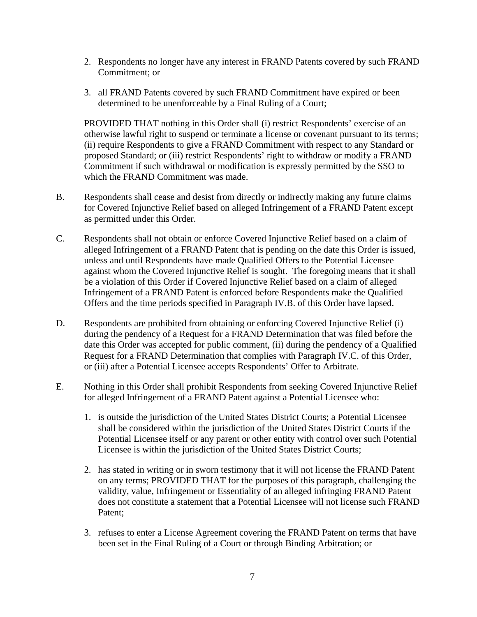- 2. Respondents no longer have any interest in FRAND Patents covered by such FRAND Commitment; or
- 3. all FRAND Patents covered by such FRAND Commitment have expired or been determined to be unenforceable by a Final Ruling of a Court;

PROVIDED THAT nothing in this Order shall (i) restrict Respondents' exercise of an otherwise lawful right to suspend or terminate a license or covenant pursuant to its terms; (ii) require Respondents to give a FRAND Commitment with respect to any Standard or proposed Standard; or (iii) restrict Respondents' right to withdraw or modify a FRAND Commitment if such withdrawal or modification is expressly permitted by the SSO to which the FRAND Commitment was made.

- B. Respondents shall cease and desist from directly or indirectly making any future claims for Covered Injunctive Relief based on alleged Infringement of a FRAND Patent except as permitted under this Order.
- C. Respondents shall not obtain or enforce Covered Injunctive Relief based on a claim of alleged Infringement of a FRAND Patent that is pending on the date this Order is issued, unless and until Respondents have made Qualified Offers to the Potential Licensee against whom the Covered Injunctive Relief is sought. The foregoing means that it shall be a violation of this Order if Covered Injunctive Relief based on a claim of alleged Infringement of a FRAND Patent is enforced before Respondents make the Qualified Offers and the time periods specified in Paragraph IV.B. of this Order have lapsed.
- D. Respondents are prohibited from obtaining or enforcing Covered Injunctive Relief (i) during the pendency of a Request for a FRAND Determination that was filed before the date this Order was accepted for public comment, (ii) during the pendency of a Qualified Request for a FRAND Determination that complies with Paragraph IV.C. of this Order, or (iii) after a Potential Licensee accepts Respondents' Offer to Arbitrate.
- E. Nothing in this Order shall prohibit Respondents from seeking Covered Injunctive Relief for alleged Infringement of a FRAND Patent against a Potential Licensee who:
	- 1. is outside the jurisdiction of the United States District Courts; a Potential Licensee shall be considered within the jurisdiction of the United States District Courts if the Potential Licensee itself or any parent or other entity with control over such Potential Licensee is within the jurisdiction of the United States District Courts;
	- 2. has stated in writing or in sworn testimony that it will not license the FRAND Patent on any terms; PROVIDED THAT for the purposes of this paragraph, challenging the validity, value, Infringement or Essentiality of an alleged infringing FRAND Patent does not constitute a statement that a Potential Licensee will not license such FRAND Patent;
	- 3. refuses to enter a License Agreement covering the FRAND Patent on terms that have been set in the Final Ruling of a Court or through Binding Arbitration; or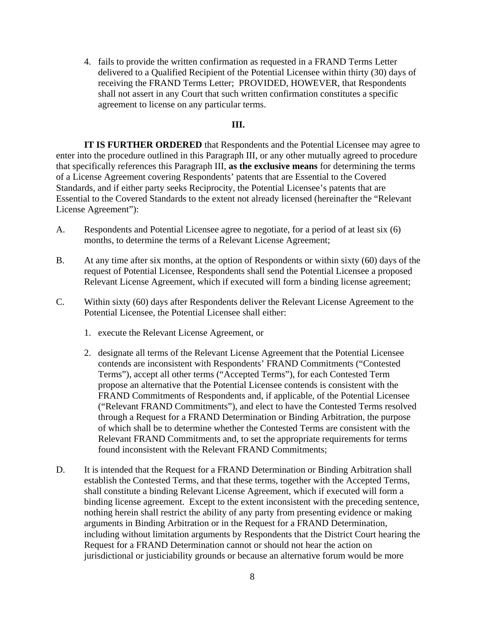4. fails to provide the written confirmation as requested in a FRAND Terms Letter delivered to a Qualified Recipient of the Potential Licensee within thirty (30) days of receiving the FRAND Terms Letter; PROVIDED, HOWEVER, that Respondents shall not assert in any Court that such written confirmation constitutes a specific agreement to license on any particular terms.

### **III.**

**IT IS FURTHER ORDERED** that Respondents and the Potential Licensee may agree to enter into the procedure outlined in this Paragraph III, or any other mutually agreed to procedure that specifically references this Paragraph III, **as the exclusive means** for determining the terms of a License Agreement covering Respondents' patents that are Essential to the Covered Standards, and if either party seeks Reciprocity, the Potential Licensee's patents that are Essential to the Covered Standards to the extent not already licensed (hereinafter the "Relevant License Agreement"):

- A. Respondents and Potential Licensee agree to negotiate, for a period of at least six (6) months, to determine the terms of a Relevant License Agreement;
- B. At any time after six months, at the option of Respondents or within sixty (60) days of the request of Potential Licensee, Respondents shall send the Potential Licensee a proposed Relevant License Agreement, which if executed will form a binding license agreement;
- C. Within sixty (60) days after Respondents deliver the Relevant License Agreement to the Potential Licensee, the Potential Licensee shall either:
	- 1. execute the Relevant License Agreement, or
	- 2. designate all terms of the Relevant License Agreement that the Potential Licensee contends are inconsistent with Respondents' FRAND Commitments ("Contested Terms"), accept all other terms ("Accepted Terms"), for each Contested Term propose an alternative that the Potential Licensee contends is consistent with the FRAND Commitments of Respondents and, if applicable, of the Potential Licensee ("Relevant FRAND Commitments"), and elect to have the Contested Terms resolved through a Request for a FRAND Determination or Binding Arbitration, the purpose of which shall be to determine whether the Contested Terms are consistent with the Relevant FRAND Commitments and, to set the appropriate requirements for terms found inconsistent with the Relevant FRAND Commitments;
- D. It is intended that the Request for a FRAND Determination or Binding Arbitration shall establish the Contested Terms, and that these terms, together with the Accepted Terms, shall constitute a binding Relevant License Agreement, which if executed will form a binding license agreement. Except to the extent inconsistent with the preceding sentence, nothing herein shall restrict the ability of any party from presenting evidence or making arguments in Binding Arbitration or in the Request for a FRAND Determination, including without limitation arguments by Respondents that the District Court hearing the Request for a FRAND Determination cannot or should not hear the action on jurisdictional or justiciability grounds or because an alternative forum would be more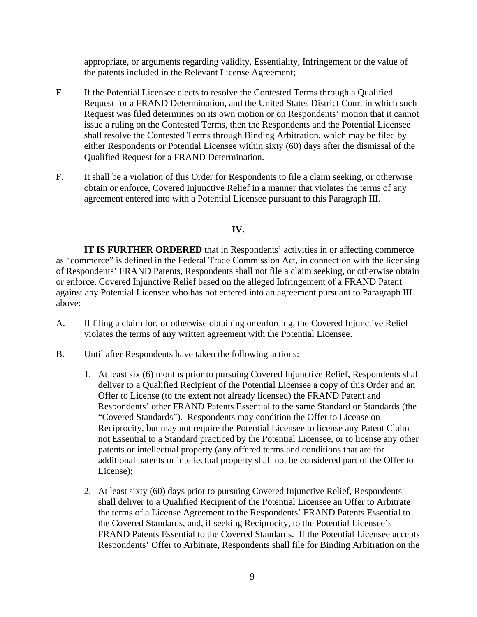appropriate, or arguments regarding validity, Essentiality, Infringement or the value of the patents included in the Relevant License Agreement;

- E. If the Potential Licensee elects to resolve the Contested Terms through a Qualified Request for a FRAND Determination, and the United States District Court in which such Request was filed determines on its own motion or on Respondents' motion that it cannot issue a ruling on the Contested Terms, then the Respondents and the Potential Licensee shall resolve the Contested Terms through Binding Arbitration, which may be filed by either Respondents or Potential Licensee within sixty (60) days after the dismissal of the Qualified Request for a FRAND Determination.
- F. It shall be a violation of this Order for Respondents to file a claim seeking, or otherwise obtain or enforce, Covered Injunctive Relief in a manner that violates the terms of any agreement entered into with a Potential Licensee pursuant to this Paragraph III.

## **IV.**

**IT IS FURTHER ORDERED** that in Respondents' activities in or affecting commerce as "commerce" is defined in the Federal Trade Commission Act, in connection with the licensing of Respondents' FRAND Patents, Respondents shall not file a claim seeking, or otherwise obtain or enforce, Covered Injunctive Relief based on the alleged Infringement of a FRAND Patent against any Potential Licensee who has not entered into an agreement pursuant to Paragraph III above:

- A. If filing a claim for, or otherwise obtaining or enforcing, the Covered Injunctive Relief violates the terms of any written agreement with the Potential Licensee.
- B. Until after Respondents have taken the following actions:
	- 1. At least six (6) months prior to pursuing Covered Injunctive Relief, Respondents shall deliver to a Qualified Recipient of the Potential Licensee a copy of this Order and an Offer to License (to the extent not already licensed) the FRAND Patent and Respondents' other FRAND Patents Essential to the same Standard or Standards (the "Covered Standards"). Respondents may condition the Offer to License on Reciprocity, but may not require the Potential Licensee to license any Patent Claim not Essential to a Standard practiced by the Potential Licensee, or to license any other patents or intellectual property (any offered terms and conditions that are for additional patents or intellectual property shall not be considered part of the Offer to License);
	- 2. At least sixty (60) days prior to pursuing Covered Injunctive Relief, Respondents shall deliver to a Qualified Recipient of the Potential Licensee an Offer to Arbitrate the terms of a License Agreement to the Respondents' FRAND Patents Essential to the Covered Standards, and, if seeking Reciprocity, to the Potential Licensee's FRAND Patents Essential to the Covered Standards. If the Potential Licensee accepts Respondents' Offer to Arbitrate, Respondents shall file for Binding Arbitration on the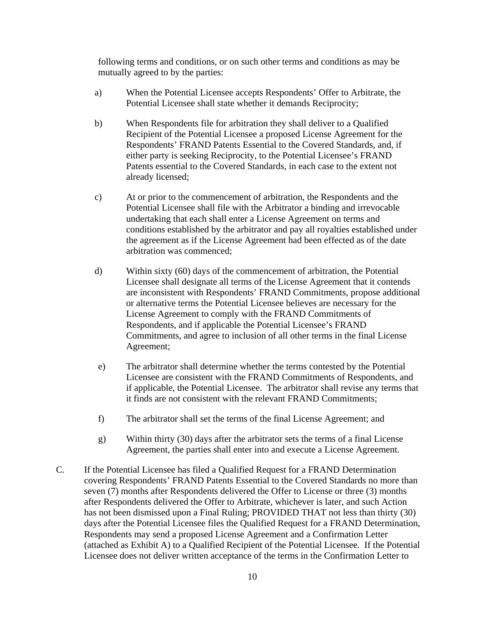following terms and conditions, or on such other terms and conditions as may be mutually agreed to by the parties:

- a) When the Potential Licensee accepts Respondents' Offer to Arbitrate, the Potential Licensee shall state whether it demands Reciprocity;
- b) When Respondents file for arbitration they shall deliver to a Qualified Recipient of the Potential Licensee a proposed License Agreement for the Respondents' FRAND Patents Essential to the Covered Standards, and, if either party is seeking Reciprocity, to the Potential Licensee's FRAND Patents essential to the Covered Standards, in each case to the extent not already licensed;
- c) At or prior to the commencement of arbitration, the Respondents and the Potential Licensee shall file with the Arbitrator a binding and irrevocable undertaking that each shall enter a License Agreement on terms and conditions established by the arbitrator and pay all royalties established under the agreement as if the License Agreement had been effected as of the date arbitration was commenced;
- d) Within sixty (60) days of the commencement of arbitration, the Potential Licensee shall designate all terms of the License Agreement that it contends are inconsistent with Respondents' FRAND Commitments, propose additional or alternative terms the Potential Licensee believes are necessary for the License Agreement to comply with the FRAND Commitments of Respondents, and if applicable the Potential Licensee's FRAND Commitments, and agree to inclusion of all other terms in the final License Agreement;
- e) The arbitrator shall determine whether the terms contested by the Potential Licensee are consistent with the FRAND Commitments of Respondents, and if applicable, the Potential Licensee. The arbitrator shall revise any terms that it finds are not consistent with the relevant FRAND Commitments;
- f) The arbitrator shall set the terms of the final License Agreement; and
- g) Within thirty (30) days after the arbitrator sets the terms of a final License Agreement, the parties shall enter into and execute a License Agreement.
- C. If the Potential Licensee has filed a Qualified Request for a FRAND Determination covering Respondents' FRAND Patents Essential to the Covered Standards no more than seven (7) months after Respondents delivered the Offer to License or three (3) months after Respondents delivered the Offer to Arbitrate, whichever is later, and such Action has not been dismissed upon a Final Ruling; PROVIDED THAT not less than thirty (30) days after the Potential Licensee files the Qualified Request for a FRAND Determination, Respondents may send a proposed License Agreement and a Confirmation Letter (attached as Exhibit A) to a Qualified Recipient of the Potential Licensee. If the Potential Licensee does not deliver written acceptance of the terms in the Confirmation Letter to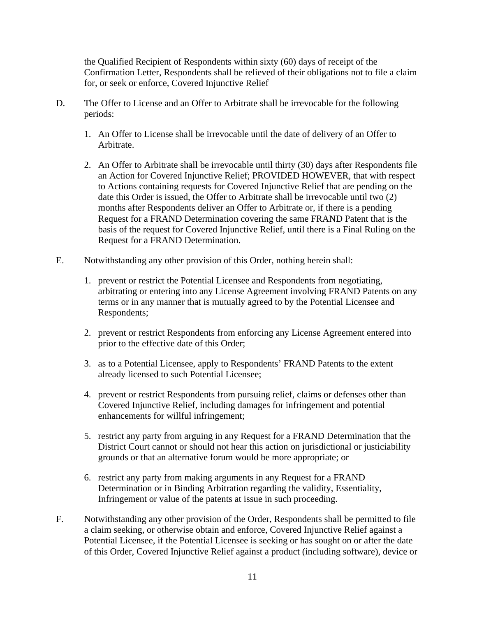the Qualified Recipient of Respondents within sixty (60) days of receipt of the Confirmation Letter, Respondents shall be relieved of their obligations not to file a claim for, or seek or enforce, Covered Injunctive Relief

- D. The Offer to License and an Offer to Arbitrate shall be irrevocable for the following periods:
	- 1. An Offer to License shall be irrevocable until the date of delivery of an Offer to Arbitrate.
	- 2. An Offer to Arbitrate shall be irrevocable until thirty (30) days after Respondents file an Action for Covered Injunctive Relief; PROVIDED HOWEVER, that with respect to Actions containing requests for Covered Injunctive Relief that are pending on the date this Order is issued, the Offer to Arbitrate shall be irrevocable until two (2) months after Respondents deliver an Offer to Arbitrate or, if there is a pending Request for a FRAND Determination covering the same FRAND Patent that is the basis of the request for Covered Injunctive Relief, until there is a Final Ruling on the Request for a FRAND Determination.
- E. Notwithstanding any other provision of this Order, nothing herein shall:
	- 1. prevent or restrict the Potential Licensee and Respondents from negotiating, arbitrating or entering into any License Agreement involving FRAND Patents on any terms or in any manner that is mutually agreed to by the Potential Licensee and Respondents;
	- 2. prevent or restrict Respondents from enforcing any License Agreement entered into prior to the effective date of this Order;
	- 3. as to a Potential Licensee, apply to Respondents' FRAND Patents to the extent already licensed to such Potential Licensee;
	- 4. prevent or restrict Respondents from pursuing relief, claims or defenses other than Covered Injunctive Relief, including damages for infringement and potential enhancements for willful infringement;
	- 5. restrict any party from arguing in any Request for a FRAND Determination that the District Court cannot or should not hear this action on jurisdictional or justiciability grounds or that an alternative forum would be more appropriate; or
	- 6. restrict any party from making arguments in any Request for a FRAND Determination or in Binding Arbitration regarding the validity, Essentiality, Infringement or value of the patents at issue in such proceeding.
- F. Notwithstanding any other provision of the Order, Respondents shall be permitted to file a claim seeking, or otherwise obtain and enforce, Covered Injunctive Relief against a Potential Licensee, if the Potential Licensee is seeking or has sought on or after the date of this Order, Covered Injunctive Relief against a product (including software), device or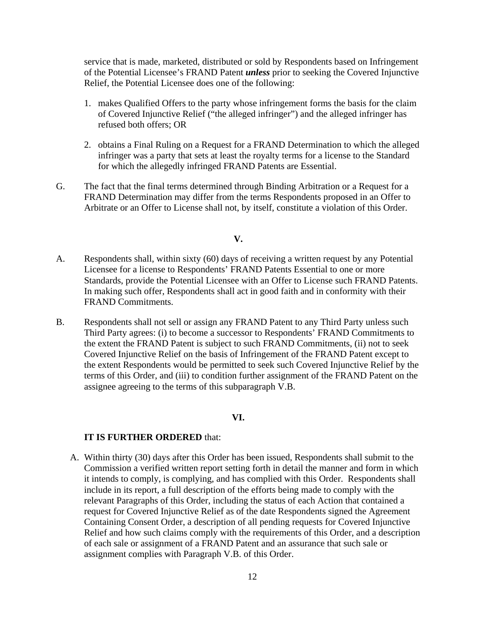service that is made, marketed, distributed or sold by Respondents based on Infringement of the Potential Licensee's FRAND Patent *unless* prior to seeking the Covered Injunctive Relief, the Potential Licensee does one of the following:

- 1. makes Qualified Offers to the party whose infringement forms the basis for the claim of Covered Injunctive Relief ("the alleged infringer") and the alleged infringer has refused both offers; OR
- 2. obtains a Final Ruling on a Request for a FRAND Determination to which the alleged infringer was a party that sets at least the royalty terms for a license to the Standard for which the allegedly infringed FRAND Patents are Essential.
- G. The fact that the final terms determined through Binding Arbitration or a Request for a FRAND Determination may differ from the terms Respondents proposed in an Offer to Arbitrate or an Offer to License shall not, by itself, constitute a violation of this Order.

### **V.**

- A. Respondents shall, within sixty (60) days of receiving a written request by any Potential Licensee for a license to Respondents' FRAND Patents Essential to one or more Standards, provide the Potential Licensee with an Offer to License such FRAND Patents. In making such offer, Respondents shall act in good faith and in conformity with their FRAND Commitments.
- B. Respondents shall not sell or assign any FRAND Patent to any Third Party unless such Third Party agrees: (i) to become a successor to Respondents' FRAND Commitments to the extent the FRAND Patent is subject to such FRAND Commitments, (ii) not to seek Covered Injunctive Relief on the basis of Infringement of the FRAND Patent except to the extent Respondents would be permitted to seek such Covered Injunctive Relief by the terms of this Order, and (iii) to condition further assignment of the FRAND Patent on the assignee agreeing to the terms of this subparagraph V.B.

### **VI.**

### **IT IS FURTHER ORDERED** that:

A. Within thirty (30) days after this Order has been issued, Respondents shall submit to the Commission a verified written report setting forth in detail the manner and form in which it intends to comply, is complying, and has complied with this Order. Respondents shall include in its report, a full description of the efforts being made to comply with the relevant Paragraphs of this Order, including the status of each Action that contained a request for Covered Injunctive Relief as of the date Respondents signed the Agreement Containing Consent Order, a description of all pending requests for Covered Injunctive Relief and how such claims comply with the requirements of this Order, and a description of each sale or assignment of a FRAND Patent and an assurance that such sale or assignment complies with Paragraph V.B. of this Order.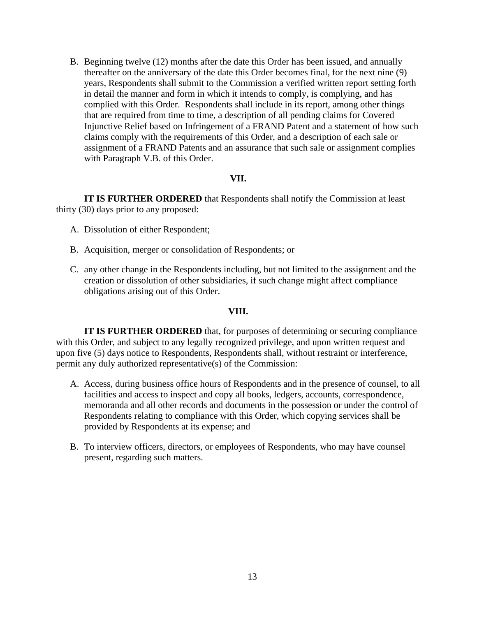B. Beginning twelve (12) months after the date this Order has been issued, and annually thereafter on the anniversary of the date this Order becomes final, for the next nine (9) years, Respondents shall submit to the Commission a verified written report setting forth in detail the manner and form in which it intends to comply, is complying, and has complied with this Order. Respondents shall include in its report, among other things that are required from time to time, a description of all pending claims for Covered Injunctive Relief based on Infringement of a FRAND Patent and a statement of how such claims comply with the requirements of this Order, and a description of each sale or assignment of a FRAND Patents and an assurance that such sale or assignment complies with Paragraph V.B. of this Order.

### **VII.**

**IT IS FURTHER ORDERED** that Respondents shall notify the Commission at least thirty (30) days prior to any proposed:

- A. Dissolution of either Respondent;
- B. Acquisition, merger or consolidation of Respondents; or
- C. any other change in the Respondents including, but not limited to the assignment and the creation or dissolution of other subsidiaries, if such change might affect compliance obligations arising out of this Order.

### **VIII.**

**IT IS FURTHER ORDERED** that, for purposes of determining or securing compliance with this Order, and subject to any legally recognized privilege, and upon written request and upon five (5) days notice to Respondents, Respondents shall, without restraint or interference, permit any duly authorized representative(s) of the Commission:

- A. Access, during business office hours of Respondents and in the presence of counsel, to all facilities and access to inspect and copy all books, ledgers, accounts, correspondence, memoranda and all other records and documents in the possession or under the control of Respondents relating to compliance with this Order, which copying services shall be provided by Respondents at its expense; and
- B. To interview officers, directors, or employees of Respondents, who may have counsel present, regarding such matters.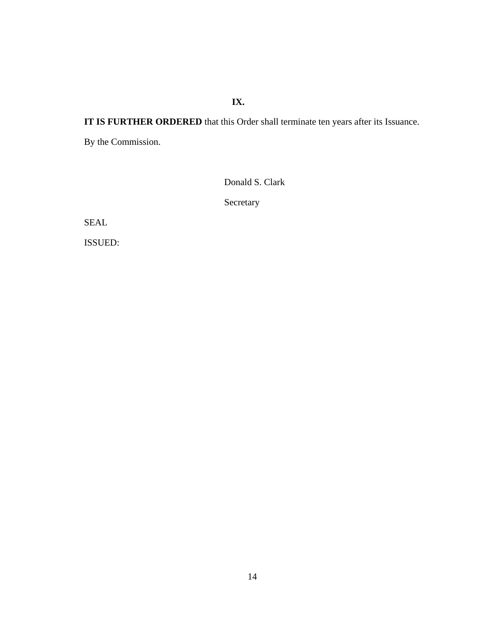## **IX.**

**IT IS FURTHER ORDERED** that this Order shall terminate ten years after its Issuance. By the Commission.

Donald S. Clark

Secretary

SEAL

ISSUED: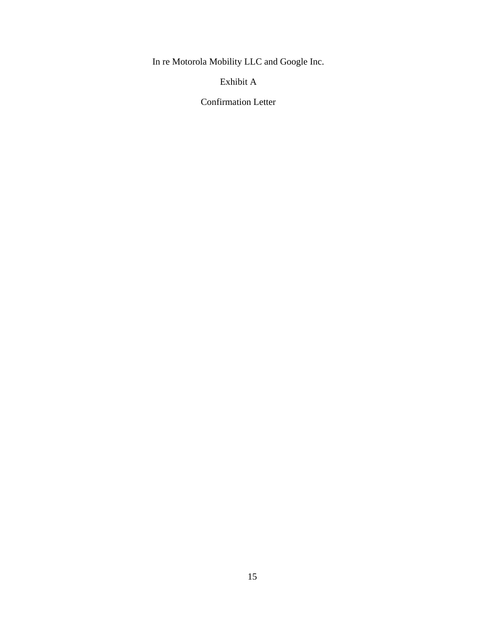In re Motorola Mobility LLC and Google Inc.

Exhibit A

Confirmation Letter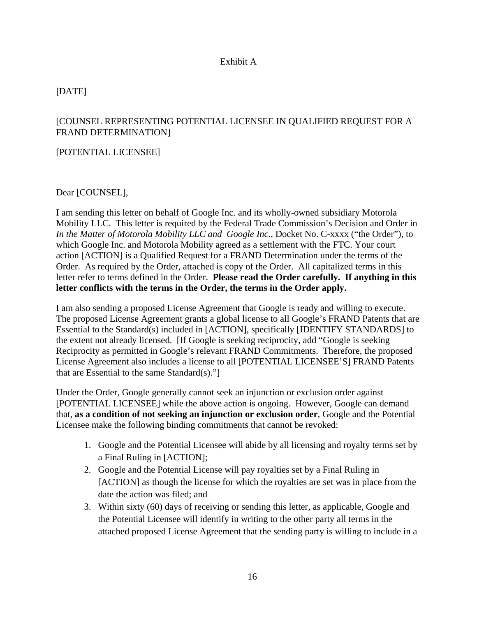### Exhibit A

## [DATE]

## [COUNSEL REPRESENTING POTENTIAL LICENSEE IN QUALIFIED REQUEST FOR A FRAND DETERMINATION]

## [POTENTIAL LICENSEE]

## Dear [COUNSEL],

I am sending this letter on behalf of Google Inc. and its wholly-owned subsidiary Motorola Mobility LLC. This letter is required by the Federal Trade Commission's Decision and Order in *In the Matter of Motorola Mobility LLC and Google Inc.,* Docket No. C-xxxx ("the Order"), to which Google Inc. and Motorola Mobility agreed as a settlement with the FTC. Your court action [ACTION] is a Qualified Request for a FRAND Determination under the terms of the Order. As required by the Order, attached is copy of the Order. All capitalized terms in this letter refer to terms defined in the Order. **Please read the Order carefully. If anything in this letter conflicts with the terms in the Order, the terms in the Order apply.** 

I am also sending a proposed License Agreement that Google is ready and willing to execute. The proposed License Agreement grants a global license to all Google's FRAND Patents that are Essential to the Standard(s) included in [ACTION], specifically [IDENTIFY STANDARDS] to the extent not already licensed. [If Google is seeking reciprocity, add "Google is seeking Reciprocity as permitted in Google's relevant FRAND Commitments. Therefore, the proposed License Agreement also includes a license to all [POTENTIAL LICENSEE'S] FRAND Patents that are Essential to the same Standard $(s)$ ."

Under the Order, Google generally cannot seek an injunction or exclusion order against [POTENTIAL LICENSEE] while the above action is ongoing. However, Google can demand that, **as a condition of not seeking an injunction or exclusion order**, Google and the Potential Licensee make the following binding commitments that cannot be revoked:

- 1. Google and the Potential Licensee will abide by all licensing and royalty terms set by a Final Ruling in [ACTION];
- 2. Google and the Potential License will pay royalties set by a Final Ruling in [ACTION] as though the license for which the royalties are set was in place from the date the action was filed; and
- 3. Within sixty (60) days of receiving or sending this letter, as applicable, Google and the Potential Licensee will identify in writing to the other party all terms in the attached proposed License Agreement that the sending party is willing to include in a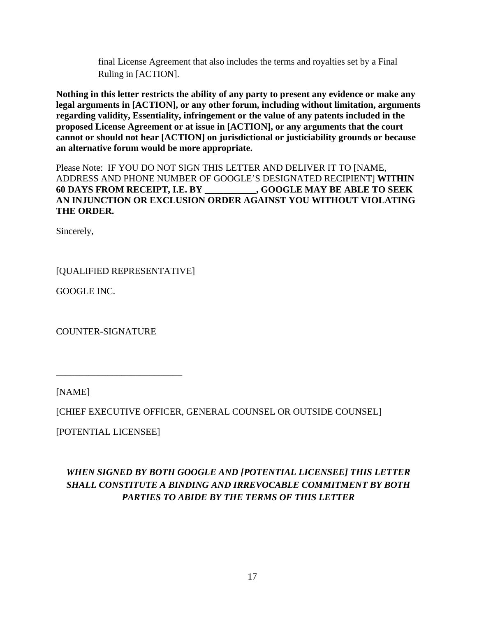final License Agreement that also includes the terms and royalties set by a Final Ruling in [ACTION].

**Nothing in this letter restricts the ability of any party to present any evidence or make any legal arguments in [ACTION], or any other forum, including without limitation, arguments regarding validity, Essentiality, infringement or the value of any patents included in the proposed License Agreement or at issue in [ACTION], or any arguments that the court cannot or should not hear [ACTION] on jurisdictional or justiciability grounds or because an alternative forum would be more appropriate.** 

Please Note: IF YOU DO NOT SIGN THIS LETTER AND DELIVER IT TO [NAME, ADDRESS AND PHONE NUMBER OF GOOGLE'S DESIGNATED RECIPIENT] **WITHIN 60 DAYS FROM RECEIPT, I.E. BY \_\_\_\_\_\_\_\_\_\_\_, GOOGLE MAY BE ABLE TO SEEK AN INJUNCTION OR EXCLUSION ORDER AGAINST YOU WITHOUT VIOLATING THE ORDER.** 

Sincerely,

[QUALIFIED REPRESENTATIVE]

GOOGLE INC.

COUNTER-SIGNATURE

\_\_\_\_\_\_\_\_\_\_\_\_\_\_\_\_\_\_\_\_\_\_\_\_\_\_\_

[NAME]

[CHIEF EXECUTIVE OFFICER, GENERAL COUNSEL OR OUTSIDE COUNSEL]

[POTENTIAL LICENSEE]

# *WHEN SIGNED BY BOTH GOOGLE AND [POTENTIAL LICENSEE] THIS LETTER SHALL CONSTITUTE A BINDING AND IRREVOCABLE COMMITMENT BY BOTH PARTIES TO ABIDE BY THE TERMS OF THIS LETTER*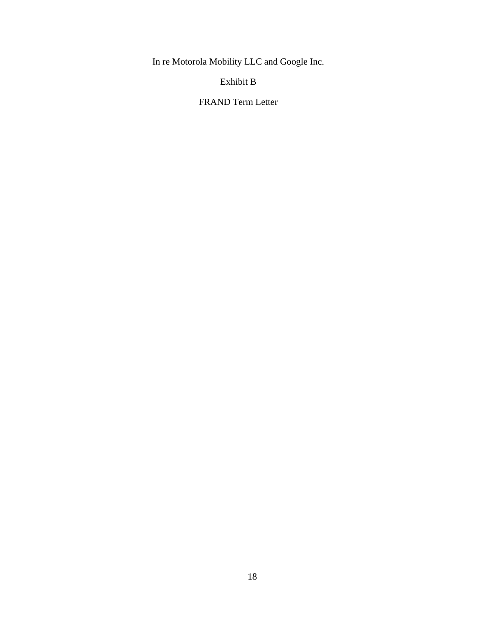In re Motorola Mobility LLC and Google Inc.

Exhibit B

FRAND Term Letter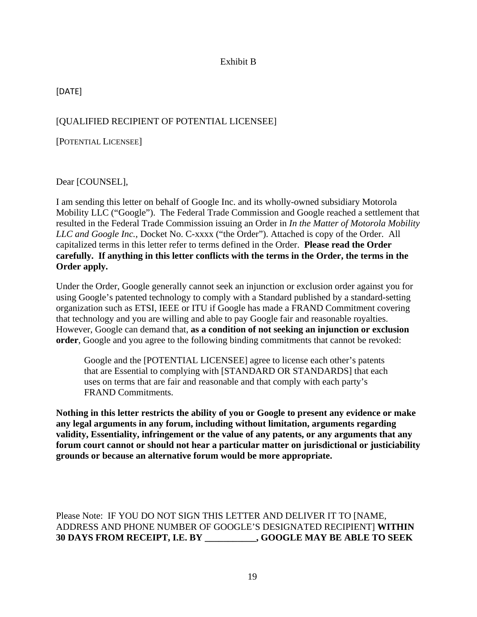### Exhibit B

[DATE]

## [QUALIFIED RECIPIENT OF POTENTIAL LICENSEE]

[POTENTIAL LICENSEE]

## Dear [COUNSEL],

I am sending this letter on behalf of Google Inc. and its wholly-owned subsidiary Motorola Mobility LLC ("Google"). The Federal Trade Commission and Google reached a settlement that resulted in the Federal Trade Commission issuing an Order in *In the Matter of Motorola Mobility LLC and Google Inc.,* Docket No. C-xxxx ("the Order"). Attached is copy of the Order. All capitalized terms in this letter refer to terms defined in the Order. **Please read the Order carefully. If anything in this letter conflicts with the terms in the Order, the terms in the Order apply.** 

Under the Order, Google generally cannot seek an injunction or exclusion order against you for using Google's patented technology to comply with a Standard published by a standard-setting organization such as ETSI, IEEE or ITU if Google has made a FRAND Commitment covering that technology and you are willing and able to pay Google fair and reasonable royalties. However, Google can demand that, **as a condition of not seeking an injunction or exclusion order**, Google and you agree to the following binding commitments that cannot be revoked:

Google and the [POTENTIAL LICENSEE] agree to license each other's patents that are Essential to complying with [STANDARD OR STANDARDS] that each uses on terms that are fair and reasonable and that comply with each party's FRAND Commitments.

**Nothing in this letter restricts the ability of you or Google to present any evidence or make any legal arguments in any forum, including without limitation, arguments regarding validity, Essentiality, infringement or the value of any patents, or any arguments that any forum court cannot or should not hear a particular matter on jurisdictional or justiciability grounds or because an alternative forum would be more appropriate.** 

Please Note: IF YOU DO NOT SIGN THIS LETTER AND DELIVER IT TO [NAME, ADDRESS AND PHONE NUMBER OF GOOGLE'S DESIGNATED RECIPIENT] **WITHIN 30 DAYS FROM RECEIPT, I.E. BY \_\_\_\_\_\_\_\_\_\_\_, GOOGLE MAY BE ABLE TO SEEK**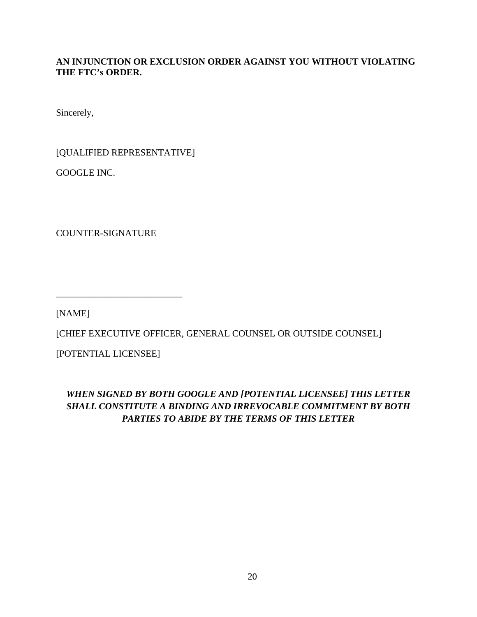## **AN INJUNCTION OR EXCLUSION ORDER AGAINST YOU WITHOUT VIOLATING THE FTC's ORDER.**

Sincerely,

[QUALIFIED REPRESENTATIVE]

GOOGLE INC.

COUNTER-SIGNATURE

[NAME]

[CHIEF EXECUTIVE OFFICER, GENERAL COUNSEL OR OUTSIDE COUNSEL]

[POTENTIAL LICENSEE]

\_\_\_\_\_\_\_\_\_\_\_\_\_\_\_\_\_\_\_\_\_\_\_\_\_\_\_

# *WHEN SIGNED BY BOTH GOOGLE AND [POTENTIAL LICENSEE] THIS LETTER SHALL CONSTITUTE A BINDING AND IRREVOCABLE COMMITMENT BY BOTH PARTIES TO ABIDE BY THE TERMS OF THIS LETTER*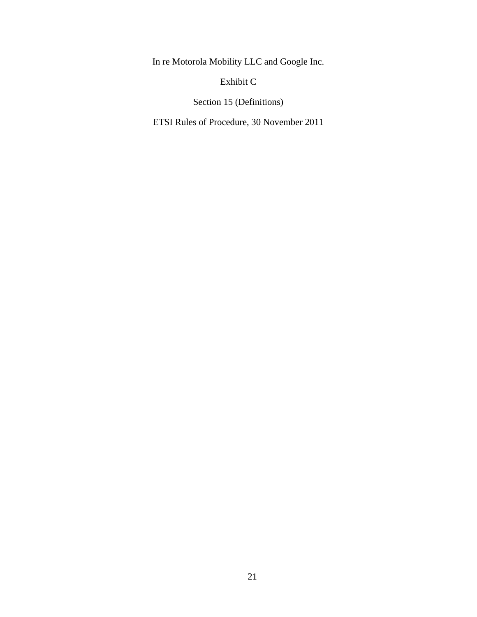In re Motorola Mobility LLC and Google Inc.

Exhibit C

Section 15 (Definitions)

ETSI Rules of Procedure, 30 November 2011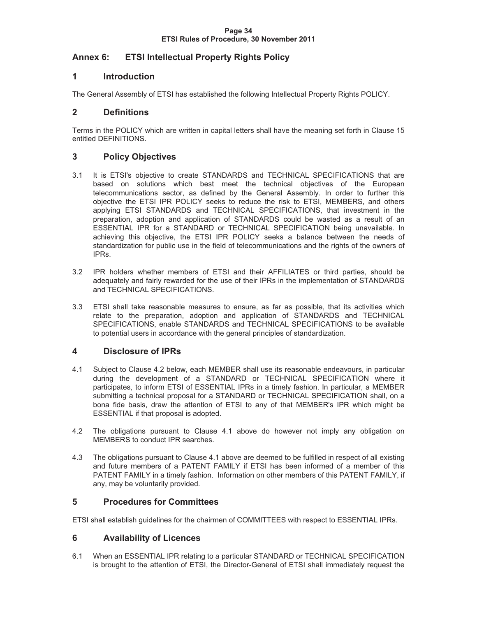#### **Page 34 ETSI Rules of Procedure, 30 November 2011**

### **Annex 6: ETSI Intellectual Property Rights Policy**

#### **1 Introduction**

The General Assembly of ETSI has established the following Intellectual Property Rights POLICY.

#### **2 Definitions**

Terms in the POLICY which are written in capital letters shall have the meaning set forth in Clause 15 entitled DEFINITIONS.

### **3 Policy Objectives**

- 3.1 It is ETSI's objective to create STANDARDS and TECHNICAL SPECIFICATIONS that are based on solutions which best meet the technical objectives of the European telecommunications sector, as defined by the General Assembly. In order to further this objective the ETSI IPR POLICY seeks to reduce the risk to ETSI, MEMBERS, and others applying ETSI STANDARDS and TECHNICAL SPECIFICATIONS, that investment in the preparation, adoption and application of STANDARDS could be wasted as a result of an ESSENTIAL IPR for a STANDARD or TECHNICAL SPECIFICATION being unavailable. In achieving this objective, the ETSI IPR POLICY seeks a balance between the needs of standardization for public use in the field of telecommunications and the rights of the owners of IPRs.
- 3.2 IPR holders whether members of ETSI and their AFFILIATES or third parties, should be adequately and fairly rewarded for the use of their IPRs in the implementation of STANDARDS and TECHNICAL SPECIFICATIONS.
- 3.3 ETSI shall take reasonable measures to ensure, as far as possible, that its activities which relate to the preparation, adoption and application of STANDARDS and TECHNICAL SPECIFICATIONS, enable STANDARDS and TECHNICAL SPECIFICATIONS to be available to potential users in accordance with the general principles of standardization.

### **4 Disclosure of IPRs**

- 4.1 Subject to Clause 4.2 below, each MEMBER shall use its reasonable endeavours, in particular during the development of a STANDARD or TECHNICAL SPECIFICATION where it participates, to inform ETSI of ESSENTIAL IPRs in a timely fashion. In particular, a MEMBER submitting a technical proposal for a STANDARD or TECHNICAL SPECIFICATION shall, on a bona fide basis, draw the attention of ETSI to any of that MEMBER's IPR which might be ESSENTIAL if that proposal is adopted.
- 4.2 The obligations pursuant to Clause 4.1 above do however not imply any obligation on MEMBERS to conduct IPR searches.
- 4.3 The obligations pursuant to Clause 4.1 above are deemed to be fulfilled in respect of all existing and future members of a PATENT FAMILY if ETSI has been informed of a member of this PATENT FAMILY in a timely fashion. Information on other members of this PATENT FAMILY, if any, may be voluntarily provided.

### **5 Procedures for Committees**

ETSI shall establish guidelines for the chairmen of COMMITTEES with respect to ESSENTIAL IPRs.

### **6 Availability of Licences**

6.1 When an ESSENTIAL IPR relating to a particular STANDARD or TECHNICAL SPECIFICATION is brought to the attention of ETSI, the Director-General of ETSI shall immediately request the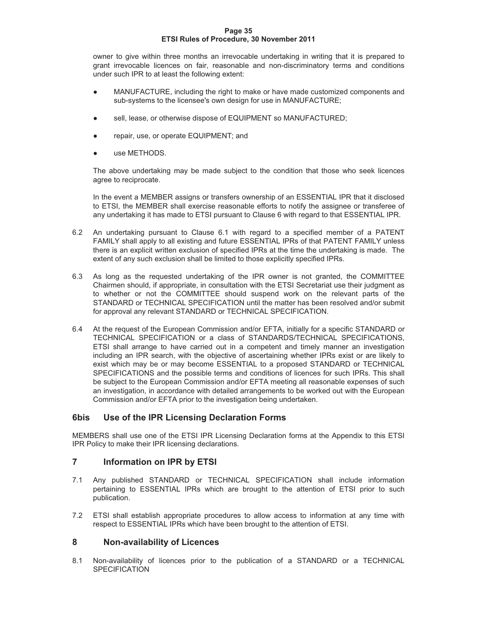#### **Page 35 ETSI Rules of Procedure, 30 November 2011**

owner to give within three months an irrevocable undertaking in writing that it is prepared to grant irrevocable licences on fair, reasonable and non-discriminatory terms and conditions under such IPR to at least the following extent:

- $\bullet$  MANUFACTURE, including the right to make or have made customized components and sub-systems to the licensee's own design for use in MANUFACTURE;
- $\bullet$ sell, lease, or otherwise dispose of EQUIPMENT so MANUFACTURED;
- $\bullet$ repair, use, or operate EQUIPMENT; and
- $\blacksquare$ use METHODS.

 The above undertaking may be made subject to the condition that those who seek licences agree to reciprocate.

 In the event a MEMBER assigns or transfers ownership of an ESSENTIAL IPR that it disclosed to ETSI, the MEMBER shall exercise reasonable efforts to notify the assignee or transferee of any undertaking it has made to ETSI pursuant to Clause 6 with regard to that ESSENTIAL IPR.

- 6.2 An undertaking pursuant to Clause 6.1 with regard to a specified member of a PATENT FAMILY shall apply to all existing and future ESSENTIAL IPRs of that PATENT FAMILY unless there is an explicit written exclusion of specified IPRs at the time the undertaking is made. The extent of any such exclusion shall be limited to those explicitly specified IPRs.
- 6.3 As long as the requested undertaking of the IPR owner is not granted, the COMMITTEE Chairmen should, if appropriate, in consultation with the ETSI Secretariat use their judgment as to whether or not the COMMITTEE should suspend work on the relevant parts of the STANDARD or TECHNICAL SPECIFICATION until the matter has been resolved and/or submit for approval any relevant STANDARD or TECHNICAL SPECIFICATION.
- 6.4 At the request of the European Commission and/or EFTA, initially for a specific STANDARD or TECHNICAL SPECIFICATION or a class of STANDARDS/TECHNICAL SPECIFICATIONS, ETSI shall arrange to have carried out in a competent and timely manner an investigation including an IPR search, with the objective of ascertaining whether IPRs exist or are likely to exist which may be or may become ESSENTIAL to a proposed STANDARD or TECHNICAL SPECIFICATIONS and the possible terms and conditions of licences for such IPRs. This shall be subject to the European Commission and/or EFTA meeting all reasonable expenses of such an investigation, in accordance with detailed arrangements to be worked out with the European Commission and/or EFTA prior to the investigation being undertaken.

### **6bis Use of the IPR Licensing Declaration Forms**

MEMBERS shall use one of the ETSI IPR Licensing Declaration forms at the Appendix to this ETSI IPR Policy to make their IPR licensing declarations.

#### **7 Information on IPR by ETSI**

- 7.1 Any published STANDARD or TECHNICAL SPECIFICATION shall include information pertaining to ESSENTIAL IPRs which are brought to the attention of ETSI prior to such publication.
- 7.2 ETSI shall establish appropriate procedures to allow access to information at any time with respect to ESSENTIAL IPRs which have been brought to the attention of ETSI.

#### **8 Non-availability of Licences**

8.1 Non-availability of licences prior to the publication of a STANDARD or a TECHNICAL **SPECIFICATION**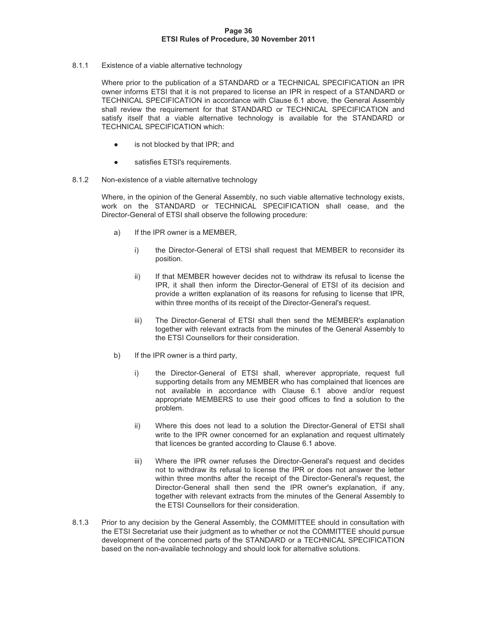#### **Page 36 ETSI Rules of Procedure, 30 November 2011**

8.1.1 Existence of a viable alternative technology

 Where prior to the publication of a STANDARD or a TECHNICAL SPECIFICATION an IPR owner informs ETSI that it is not prepared to license an IPR in respect of a STANDARD or TECHNICAL SPECIFICATION in accordance with Clause 6.1 above, the General Assembly shall review the requirement for that STANDARD or TECHNICAL SPECIFICATION and satisfy itself that a viable alternative technology is available for the STANDARD or TECHNICAL SPECIFICATION which:

- $\bullet$ is not blocked by that IPR; and
- $\bullet$ satisfies ETSI's requirements.
- 8.1.2 Non-existence of a viable alternative technology

 Where, in the opinion of the General Assembly, no such viable alternative technology exists, work on the STANDARD or TECHNICAL SPECIFICATION shall cease, and the Director-General of ETSI shall observe the following procedure:

- a) If the IPR owner is a MEMBER,
	- i) the Director-General of ETSI shall request that MEMBER to reconsider its position.
	- ii) If that MEMBER however decides not to withdraw its refusal to license the IPR, it shall then inform the Director-General of ETSI of its decision and provide a written explanation of its reasons for refusing to license that IPR, within three months of its receipt of the Director-General's request.
	- iii) The Director-General of ETSI shall then send the MEMBER's explanation together with relevant extracts from the minutes of the General Assembly to the ETSI Counsellors for their consideration.
- b) If the IPR owner is a third party,
	- i) the Director-General of ETSI shall, wherever appropriate, request full supporting details from any MEMBER who has complained that licences are not available in accordance with Clause 6.1 above and/or request appropriate MEMBERS to use their good offices to find a solution to the problem.
	- ii) Where this does not lead to a solution the Director-General of ETSI shall write to the IPR owner concerned for an explanation and request ultimately that licences be granted according to Clause 6.1 above.
	- iii) Where the IPR owner refuses the Director-General's request and decides not to withdraw its refusal to license the IPR or does not answer the letter within three months after the receipt of the Director-General's request, the Director-General shall then send the IPR owner's explanation, if any, together with relevant extracts from the minutes of the General Assembly to the ETSI Counsellors for their consideration.
- 8.1.3 Prior to any decision by the General Assembly, the COMMITTEE should in consultation with the ETSI Secretariat use their judgment as to whether or not the COMMITTEE should pursue development of the concerned parts of the STANDARD or a TECHNICAL SPECIFICATION based on the non-available technology and should look for alternative solutions.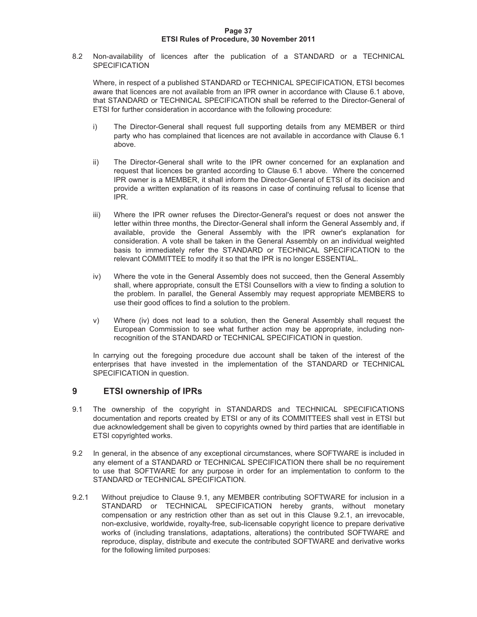#### **Page 37 ETSI Rules of Procedure, 30 November 2011**

8.2 Non-availability of licences after the publication of a STANDARD or a TECHNICAL **SPECIFICATION** 

 Where, in respect of a published STANDARD or TECHNICAL SPECIFICATION, ETSI becomes aware that licences are not available from an IPR owner in accordance with Clause 6.1 above, that STANDARD or TECHNICAL SPECIFICATION shall be referred to the Director-General of ETSI for further consideration in accordance with the following procedure:

- i) The Director-General shall request full supporting details from any MEMBER or third party who has complained that licences are not available in accordance with Clause 6.1 above.
- ii) The Director-General shall write to the IPR owner concerned for an explanation and request that licences be granted according to Clause 6.1 above. Where the concerned IPR owner is a MEMBER, it shall inform the Director-General of ETSI of its decision and provide a written explanation of its reasons in case of continuing refusal to license that IPR.
- iii) Where the IPR owner refuses the Director-General's request or does not answer the letter within three months, the Director-General shall inform the General Assembly and, if available, provide the General Assembly with the IPR owner's explanation for consideration. A vote shall be taken in the General Assembly on an individual weighted basis to immediately refer the STANDARD or TECHNICAL SPECIFICATION to the relevant COMMITTEE to modify it so that the IPR is no longer ESSENTIAL.
- iv) Where the vote in the General Assembly does not succeed, then the General Assembly shall, where appropriate, consult the ETSI Counsellors with a view to finding a solution to the problem. In parallel, the General Assembly may request appropriate MEMBERS to use their good offices to find a solution to the problem.
- v) Where (iv) does not lead to a solution, then the General Assembly shall request the European Commission to see what further action may be appropriate, including nonrecognition of the STANDARD or TECHNICAL SPECIFICATION in question.

 In carrying out the foregoing procedure due account shall be taken of the interest of the enterprises that have invested in the implementation of the STANDARD or TECHNICAL SPECIFICATION in question.

#### **9 ETSI ownership of IPRs**

- 9.1 The ownership of the copyright in STANDARDS and TECHNICAL SPECIFICATIONS documentation and reports created by ETSI or any of its COMMITTEES shall vest in ETSI but due acknowledgement shall be given to copyrights owned by third parties that are identifiable in ETSI copyrighted works.
- 9.2 In general, in the absence of any exceptional circumstances, where SOFTWARE is included in any element of a STANDARD or TECHNICAL SPECIFICATION there shall be no requirement to use that SOFTWARE for any purpose in order for an implementation to conform to the STANDARD or TECHNICAL SPECIFICATION.
- 9.2.1 Without prejudice to Clause 9.1, any MEMBER contributing SOFTWARE for inclusion in a STANDARD or TECHNICAL SPECIFICATION hereby grants, without monetary compensation or any restriction other than as set out in this Clause 9.2.1, an irrevocable, non-exclusive, worldwide, royalty-free, sub-licensable copyright licence to prepare derivative works of (including translations, adaptations, alterations) the contributed SOFTWARE and reproduce, display, distribute and execute the contributed SOFTWARE and derivative works for the following limited purposes: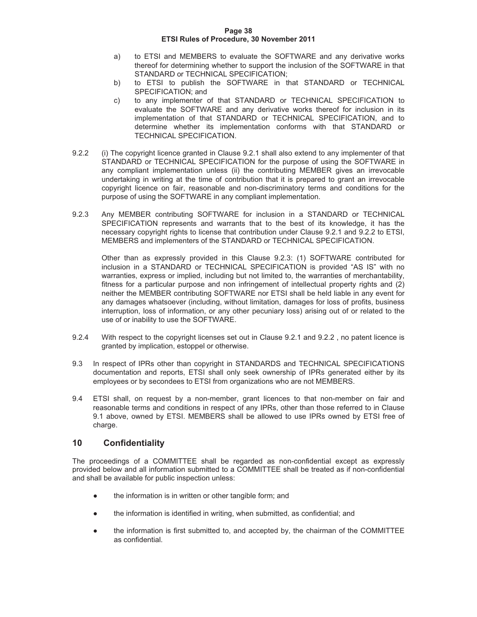#### **Page 38 ETSI Rules of Procedure, 30 November 2011**

- a) to ETSI and MEMBERS to evaluate the SOFTWARE and any derivative works thereof for determining whether to support the inclusion of the SOFTWARE in that STANDARD or TECHNICAL SPECIFICATION;
- b) to ETSI to publish the SOFTWARE in that STANDARD or TECHNICAL SPECIFICATION; and
- c) to any implementer of that STANDARD or TECHNICAL SPECIFICATION to evaluate the SOFTWARE and any derivative works thereof for inclusion in its implementation of that STANDARD or TECHNICAL SPECIFICATION, and to determine whether its implementation conforms with that STANDARD or TECHNICAL SPECIFICATION.
- 9.2.2 (i) The copyright licence granted in Clause 9.2.1 shall also extend to any implementer of that STANDARD or TECHNICAL SPECIFICATION for the purpose of using the SOFTWARE in any compliant implementation unless (ii) the contributing MEMBER gives an irrevocable undertaking in writing at the time of contribution that it is prepared to grant an irrevocable copyright licence on fair, reasonable and non-discriminatory terms and conditions for the purpose of using the SOFTWARE in any compliant implementation.
- 9.2.3 Any MEMBER contributing SOFTWARE for inclusion in a STANDARD or TECHNICAL SPECIFICATION represents and warrants that to the best of its knowledge, it has the necessary copyright rights to license that contribution under Clause 9.2.1 and 9.2.2 to ETSI, MEMBERS and implementers of the STANDARD or TECHNICAL SPECIFICATION.

 Other than as expressly provided in this Clause 9.2.3: (1) SOFTWARE contributed for inclusion in a STANDARD or TECHNICAL SPECIFICATION is provided "AS IS" with no warranties, express or implied, including but not limited to, the warranties of merchantability, fitness for a particular purpose and non infringement of intellectual property rights and (2) neither the MEMBER contributing SOFTWARE nor ETSI shall be held liable in any event for any damages whatsoever (including, without limitation, damages for loss of profits, business interruption, loss of information, or any other pecuniary loss) arising out of or related to the use of or inability to use the SOFTWARE.

- 9.2.4 With respect to the copyright licenses set out in Clause 9.2.1 and 9.2.2 , no patent licence is granted by implication, estoppel or otherwise.
- 9.3 In respect of IPRs other than copyright in STANDARDS and TECHNICAL SPECIFICATIONS documentation and reports, ETSI shall only seek ownership of IPRs generated either by its employees or by secondees to ETSI from organizations who are not MEMBERS.
- 9.4 ETSI shall, on request by a non-member, grant licences to that non-member on fair and reasonable terms and conditions in respect of any IPRs, other than those referred to in Clause 9.1 above, owned by ETSI. MEMBERS shall be allowed to use IPRs owned by ETSI free of charge.

### **10 Confidentiality**

The proceedings of a COMMITTEE shall be regarded as non-confidential except as expressly provided below and all information submitted to a COMMITTEE shall be treated as if non-confidential and shall be available for public inspection unless:

- $\bullet$ the information is in written or other tangible form; and
- $\bullet$ the information is identified in writing, when submitted, as confidential; and
- $\bullet$  the information is first submitted to, and accepted by, the chairman of the COMMITTEE as confidential.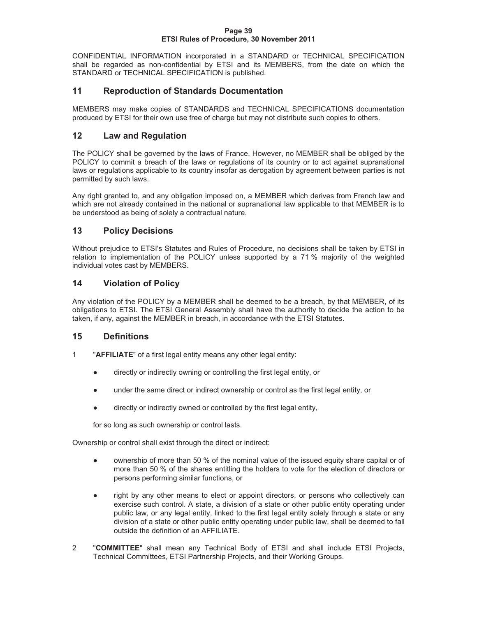#### **Page 39 ETSI Rules of Procedure, 30 November 2011**

CONFIDENTIAL INFORMATION incorporated in a STANDARD or TECHNICAL SPECIFICATION shall be regarded as non-confidential by ETSI and its MEMBERS, from the date on which the STANDARD or TECHNICAL SPECIFICATION is published.

### **11 Reproduction of Standards Documentation**

MEMBERS may make copies of STANDARDS and TECHNICAL SPECIFICATIONS documentation produced by ETSI for their own use free of charge but may not distribute such copies to others.

### **12 Law and Regulation**

The POLICY shall be governed by the laws of France. However, no MEMBER shall be obliged by the POLICY to commit a breach of the laws or regulations of its country or to act against supranational laws or regulations applicable to its country insofar as derogation by agreement between parties is not permitted by such laws.

Any right granted to, and any obligation imposed on, a MEMBER which derives from French law and which are not already contained in the national or supranational law applicable to that MEMBER is to be understood as being of solely a contractual nature.

### **13 Policy Decisions**

Without prejudice to ETSI's Statutes and Rules of Procedure, no decisions shall be taken by ETSI in relation to implementation of the POLICY unless supported by a 71 % majority of the weighted individual votes cast by MEMBERS.

### **14 Violation of Policy**

Any violation of the POLICY by a MEMBER shall be deemed to be a breach, by that MEMBER, of its obligations to ETSI. The ETSI General Assembly shall have the authority to decide the action to be taken, if any, against the MEMBER in breach, in accordance with the ETSI Statutes.

### **15 Definitions**

- 1 "**AFFILIATE**" of a first legal entity means any other legal entity:
	- $\bullet$ directly or indirectly owning or controlling the first legal entity, or
	- $\bullet$ under the same direct or indirect ownership or control as the first legal entity, or
	- $\bullet$ directly or indirectly owned or controlled by the first legal entity,

for so long as such ownership or control lasts.

Ownership or control shall exist through the direct or indirect:

- $\bullet$  ownership of more than 50 % of the nominal value of the issued equity share capital or of more than 50 % of the shares entitling the holders to vote for the election of directors or persons performing similar functions, or
- $\bullet$  right by any other means to elect or appoint directors, or persons who collectively can exercise such control. A state, a division of a state or other public entity operating under public law, or any legal entity, linked to the first legal entity solely through a state or any division of a state or other public entity operating under public law, shall be deemed to fall outside the definition of an AFFILIATE.
- 2 "**COMMITTEE**" shall mean any Technical Body of ETSI and shall include ETSI Projects, Technical Committees, ETSI Partnership Projects, and their Working Groups.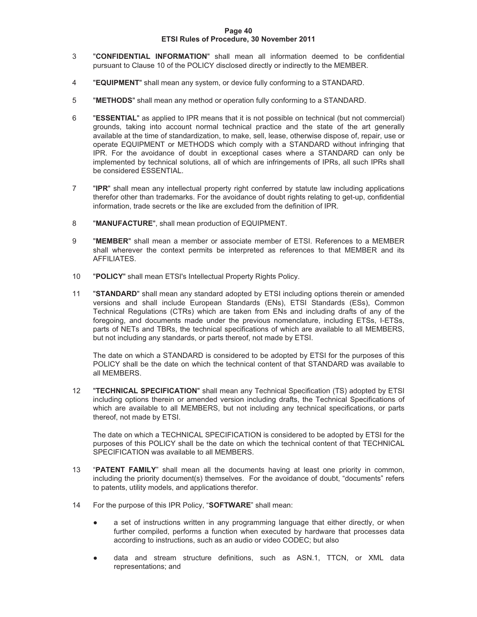#### **Page 40 ETSI Rules of Procedure, 30 November 2011**

- 3 "**CONFIDENTIAL INFORMATION**" shall mean all information deemed to be confidential pursuant to Clause 10 of the POLICY disclosed directly or indirectly to the MEMBER.
- 4 "**EQUIPMENT**" shall mean any system, or device fully conforming to a STANDARD.
- 5 "**METHODS**" shall mean any method or operation fully conforming to a STANDARD.
- 6 "**ESSENTIAL**" as applied to IPR means that it is not possible on technical (but not commercial) grounds, taking into account normal technical practice and the state of the art generally available at the time of standardization, to make, sell, lease, otherwise dispose of, repair, use or operate EQUIPMENT or METHODS which comply with a STANDARD without infringing that IPR. For the avoidance of doubt in exceptional cases where a STANDARD can only be implemented by technical solutions, all of which are infringements of IPRs, all such IPRs shall be considered ESSENTIAL.
- 7 "**IPR**" shall mean any intellectual property right conferred by statute law including applications therefor other than trademarks. For the avoidance of doubt rights relating to get-up, confidential information, trade secrets or the like are excluded from the definition of IPR.
- 8 "**MANUFACTURE**", shall mean production of EQUIPMENT.
- 9 "**MEMBER**" shall mean a member or associate member of ETSI. References to a MEMBER shall wherever the context permits be interpreted as references to that MEMBER and its AFFILIATES.
- 10 "**POLICY**" shall mean ETSI's Intellectual Property Rights Policy.
- 11 "**STANDARD**" shall mean any standard adopted by ETSI including options therein or amended versions and shall include European Standards (ENs), ETSI Standards (ESs), Common Technical Regulations (CTRs) which are taken from ENs and including drafts of any of the foregoing, and documents made under the previous nomenclature, including ETSs, I-ETSs, parts of NETs and TBRs, the technical specifications of which are available to all MEMBERS, but not including any standards, or parts thereof, not made by ETSI.

 The date on which a STANDARD is considered to be adopted by ETSI for the purposes of this POLICY shall be the date on which the technical content of that STANDARD was available to all MEMBERS.

12 "**TECHNICAL SPECIFICATION**" shall mean any Technical Specification (TS) adopted by ETSI including options therein or amended version including drafts, the Technical Specifications of which are available to all MEMBERS, but not including any technical specifications, or parts thereof, not made by ETSI.

 The date on which a TECHNICAL SPECIFICATION is considered to be adopted by ETSI for the purposes of this POLICY shall be the date on which the technical content of that TECHNICAL SPECIFICATION was available to all MEMBERS.

- 13 "**PATENT FAMILY**" shall mean all the documents having at least one priority in common, including the priority document(s) themselves. For the avoidance of doubt, "documents" refers to patents, utility models, and applications therefor.
- 14 For the purpose of this IPR Policy, "**SOFTWARE**" shall mean:
	- $\bullet$  a set of instructions written in any programming language that either directly, or when further compiled, performs a function when executed by hardware that processes data according to instructions, such as an audio or video CODEC; but also
	- $\bullet$  data and stream structure definitions, such as ASN.1, TTCN, or XML data representations; and